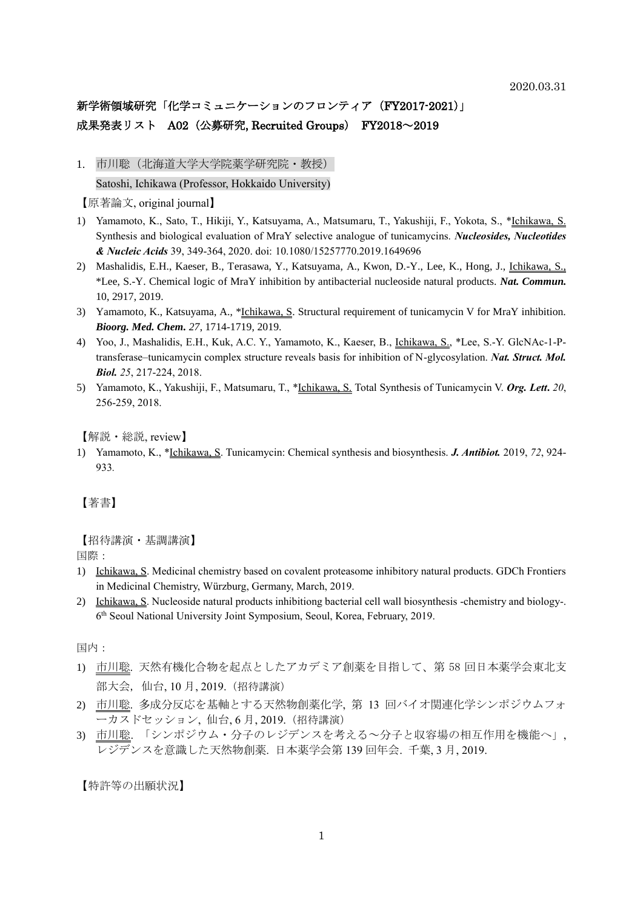# 新学術領域研究「化学コミュニケーションのフロンティア (FY2017-2021)」 成果発表リスト A02 (公募研究, Recruited Groups) FY2018~2019

1. 市川聡(北海道大学大学院薬学研究院·教授) Satoshi, Ichikawa (Professor, Hokkaido University)

【原著論文, original journal】

- 1) Yamamoto, K., Sato, T., Hikiji, Y., Katsuyama, A., Matsumaru, T., Yakushiji, F., Yokota, S., \*Ichikawa, S. Synthesis and biological evaluation of MraY selective analogue of tunicamycins. *Nucleosides, Nucleotides & Nucleic Acids* 39, 349-364, 2020. doi: 10.1080/15257770.2019.1649696
- 2) Mashalidis, E.H., Kaeser, B., Terasawa, Y., Katsuyama, A., Kwon, D.-Y., Lee, K., Hong, J., Ichikawa, S., \*Lee, S.-Y. Chemical logic of MraY inhibition by antibacterial nucleoside natural products. *Nat. Commun.* 10, 2917, 2019.
- 3) Yamamoto, K., Katsuyama, A., \*Ichikawa, S. Structural requirement of tunicamycin V for MraY inhibition. *Bioorg. Med. Chem. 27*, 1714-1719, 2019.
- 4) Yoo, J., Mashalidis, E.H., Kuk, A.C. Y., Yamamoto, K., Kaeser, B., Ichikawa, S., \*Lee, S.-Y. GlcNAc-1-Ptransferase–tunicamycin complex structure reveals basis for inhibition of N-glycosylation. *Nat. Struct. Mol. Biol. 25*, 217-224, 2018.
- 5) Yamamoto, K., Yakushiji, F., Matsumaru, T., \*Ichikawa, S. Total Synthesis of Tunicamycin V. *Org. Lett***.** *20*, 256-259, 2018.

【解説・総説, review】

1) Yamamoto, K., \*Ichikawa, S. Tunicamycin: Chemical synthesis and biosynthesis. *J. Antibiot.* 2019, *72*, 924- 933*.*

【著書】

【招待講演・基調講演】

国際:

- 1) Ichikawa, S. Medicinal chemistry based on covalent proteasome inhibitory natural products. GDCh Frontiers in Medicinal Chemistry, Würzburg, Germany, March, 2019.
- 2) Ichikawa, S. Nucleoside natural products inhibitiong bacterial cell wall biosynthesis -chemistry and biology-. 6 th Seoul National University Joint Symposium, Seoul, Korea, February, 2019.

国内:

- 1) 市川聡. 天然有機化合物を起点としたアカデミア創薬を目指して、第 58 回日本薬学会東北支 部大会, 仙台, 10 月, 2019.(招待講演)
- 2) 市川聡. 多成分反応を基軸とする天然物創薬化学, 第 13 回バイオ関連化学シンポジウムフォ ーカスドセッション, 仙台, 6 月, 2019.(招待講演)
- 3) 市川聡. 「シンポジウム・分子のレジデンスを考える~分子と収容場の相互作用を機能へ」, レジデンスを意識した天然物創薬. 日本薬学会第 139 回年会. 千葉, 3 月, 2019.

【特許等の出願状況】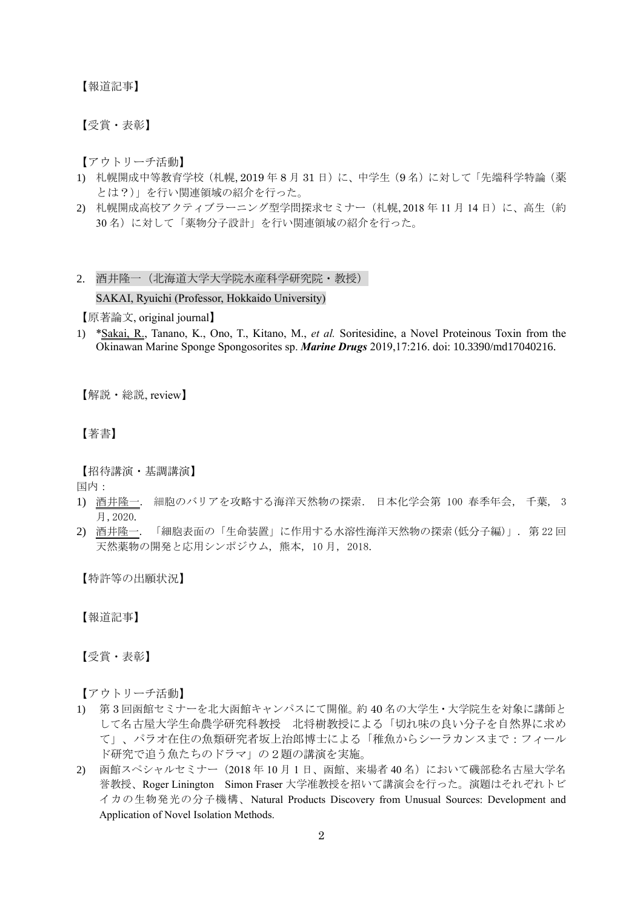【報道記事】

【受賞・表彰】

【アウトリーチ活動】

- 1) 札幌開成中等教育学校(札幌, 2019年8月31日)に、中学生(9名)に対して「先端科学特論(薬 とは?)」を行い関連領域の紹介を行った。
- 2) 札幌開成高校アクティブラーニング型学問探求セミナー (札幌, 2018年11月14日)に、高生(約 30 名)に対して「薬物分子設計」を行い関連領域の紹介を行った。

# 2. 酒井隆一(北海道大学大学院水産科学研究院・教授)

## SAKAI, Ryuichi (Professor, Hokkaido University)

【原著論文, original journal】

1) \*Sakai, R., Tanano, K., Ono, T., Kitano, M., *et al.* Soritesidine, a Novel Proteinous Toxin from the Okinawan Marine Sponge Spongosorites sp. *Marine Drugs* 2019,17:216. doi: 10.3390/md17040216.

【解説・総説, review】

# 【著書】

【招待講演・基調講演】

国内:

- 1) 酒井隆一. 細胞のバリアを攻略する海洋天然物の探索. 日本化学会第 100 春季年会, 千葉, 3 月,2020.
- 2) 酒井隆一. 「細胞表面の「生命装置」に作用する水溶性海洋天然物の探索(低分子編)」. 第 22 回 天然薬物の開発と応用シンポジウム, 熊本, 10 月, 2018.

【特許等の出願状況】

【報道記事】

【受賞・表彰】

【アウトリーチ活動】

- 1) 第 3 回函館セミナーを北大函館キャンパスにて開催。約 40 名の大学生・大学院生を対象に講師と して名古屋大学生命農学研究科教授 北将樹教授による「切れ味の良い分子を自然界に求め て」、パラオ在住の魚類研究者坂上治郎博士による「稚魚からシーラカンスまで:フィール ド研究で追う魚たちのドラマ」の2題の講演を実施。
- 2) 函館スペシャルセミナー(2018 年 10 月 1 日、函館、来場者 40 名)において磯部稔名古屋大学名 誉教授、Roger Linington Simon Fraser 大学准教授を招いて講演会を行った。演題はそれぞれトビ イカの生物発光の分子機構、Natural Products Discovery from Unusual Sources: Development and Application of Novel Isolation Methods.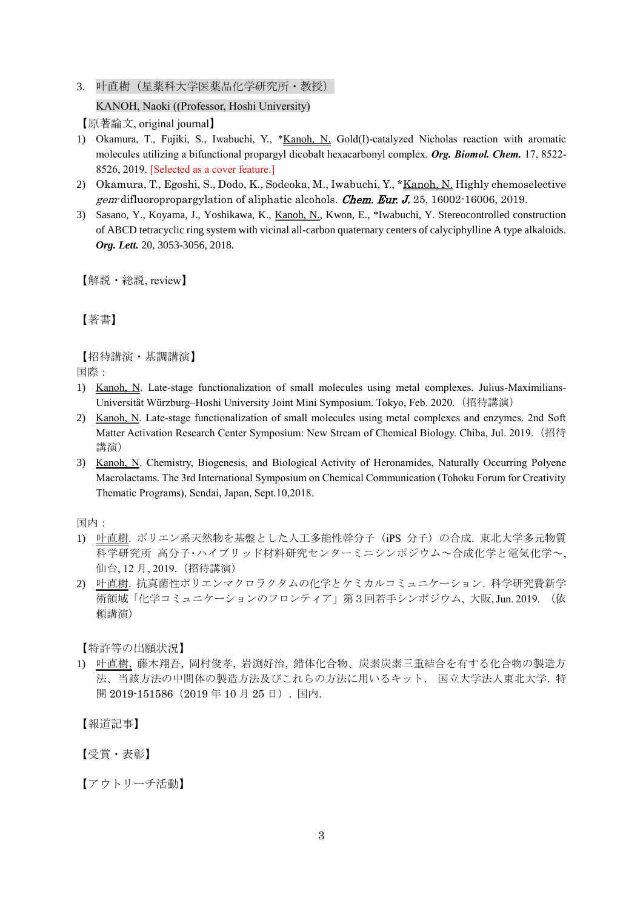3. 叶直樹(星薬科大学医薬品化学研究所・教授)

KANOH, Naoki ((Professor, Hoshi University)

【原著論文, original journal】

- 1) Okamura, T., Fujiki, S., Iwabuchi, Y., \*Kanoh, N. Gold(I)-catalyzed Nicholas reaction with aromatic molecules utilizing a bifunctional propargyl dicobalt hexacarbonyl complex. *Org. Biomol. Chem.* 17, 8522- 8526, 2019. [Selected as a cover feature.]
- 2) Okamura, T., Egoshi, S., Dodo, K., Sodeoka, M., Iwabuchi, Y., \*Kanoh, N. Highly chemoselective gem-difluoropropargylation of aliphatic alcohols. Chem. Eur. J. 25, 16002-16006, 2019.
- 3) Sasano, Y., Koyama, J., Yoshikawa, K., Kanoh, N., Kwon, E., \*Iwabuchi, Y. Stereocontrolled construction of ABCD tetracyclic ring system with vicinal all-carbon quaternary centers of calyciphylline A type alkaloids. *Org. Lett.* 20, 3053-3056, 2018.

【解説・総説, review】

【著書】

【招待講演・基調講演】 国際:

- 1) Kanoh, N. Late-stage functionalization of small molecules using metal complexes. Julius-Maximilians-Universität Würzburg–Hoshi University Joint Mini Symposium. Tokyo, Feb. 2020.(招待講演)
- 2) Kanoh, N. Late-stage functionalization of small molecules using metal complexes and enzymes. 2nd Soft Matter Activation Research Center Symposium: New Stream of Chemical Biology. Chiba, Jul. 2019. (招待 講演)
- 3) Kanoh, N. Chemistry, Biogenesis, and Biological Activity of Heronamides, Naturally Occurring Polyene Macrolactams. The 3rd International Symposium on Chemical Communication (Tohoku Forum for Creativity Thematic Programs), Sendai, Japan, Sept.10,2018.

国内:

- 1) 叶直樹. ポリエン系天然物を基盤とした人工多能性幹分子(iPS 分子)の合成. 東北大学多元物質 科学研究所 高分子・ハイブリッド材料研究センターミニシンポジウム~合成化学と電気化学~, 仙台, 12 月, 2019.(招待講演)
- 2) 叶直樹. 抗真菌性ポリエンマクロラクタムの化学とケミカルコミュニケーション. 科学研究費新学 術領域「化学コミュニケーションのフロンティア」第3回若手シンポジウム, 大阪, Jun. 2019. (依 頼講演)

【特許等の出願状況】

1) 叶直樹, 藤木翔吾, 岡村俊孝, 岩渕好治, 錯体化合物、炭素炭素三重結合を有する化合物の製造方 法、当該方法の中間体の製造方法及びこれらの方法に用いるキット. 国立大学法人東北大学. 特 開 2019-151586 (2019年 10 月 25 日). 国内.

【報道記事】

【受賞・表彰】

【アウトリーチ活動】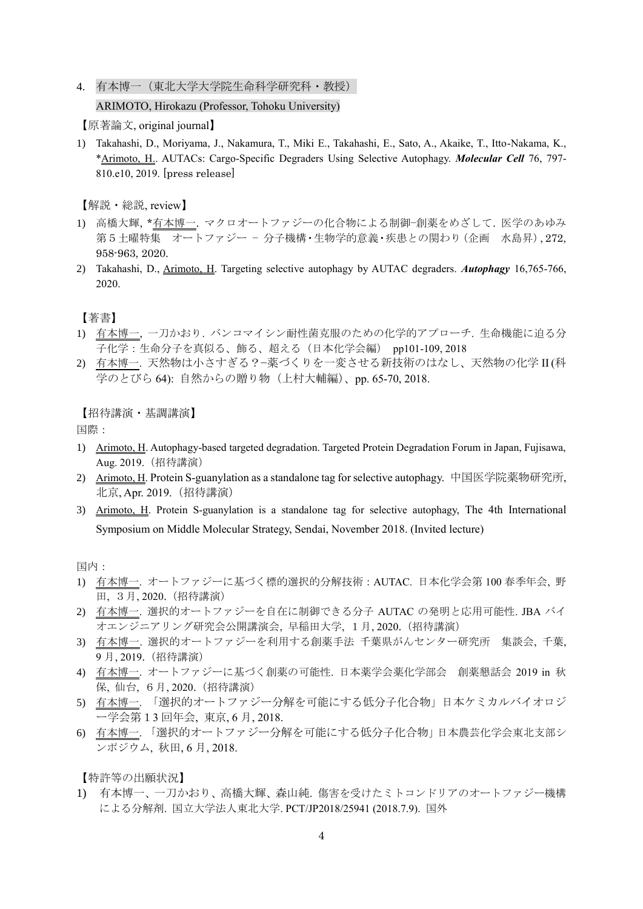4. 有本博一(東北大学大学院生命科学研究科・教授)

### ARIMOTO, Hirokazu (Professor, Tohoku University)

【原著論文, original journal】

1) Takahashi, D., Moriyama, J., Nakamura, T., Miki E., Takahashi, E., Sato, A., Akaike, T., Itto-Nakama, K., \*Arimoto, H.. AUTACs: Cargo-Specific Degraders Using Selective Autophagy. *Molecular Cell* 76, 797- 810.e10, 2019. [press release]

【解説・総説, review】

- 1) 高橋大輝, \*有本博一. マクロオートファジーの化合物による制御−創薬をめざして. 医学のあゆみ 第5土曜特集 オートファジー − 分子機構・生物学的意義・疾患との関わり(企画 水島昇), 272, 958-963, 2020.
- 2) Takahashi, D., Arimoto, H. Targeting selective autophagy by AUTAC degraders. *Autophagy* 16,765-766, 2020.

【著書】

- 1) 有本博一, 一刀かおり. バンコマイシン耐性菌克服のための化学的アプローチ. 生命機能に迫る分 子化学:生命分子を真似る、飾る、超える(日本化学会編) pp101-109, 2018
- 2) 有本博一. 天然物は小さすぎる?−薬づくりを一変させる新技術のはなし、天然物の化学 II (科 学のとびら 64): 自然からの贈り物(上村大輔編)、pp. 65-70, 2018.

【招待講演・基調講演】

国際:

- 1) Arimoto, H. Autophagy-based targeted degradation. Targeted Protein Degradation Forum in Japan, Fujisawa, Aug. 2019.(招待講演)
- 2) Arimoto, H. Protein S-guanylation as a standalone tag for selective autophagy. 中国医学院薬物研究所, 北京, Apr. 2019.(招待講演)
- 3) Arimoto, H. Protein S-guanylation is a standalone tag for selective autophagy, The 4th International Symposium on Middle Molecular Strategy, Sendai, November 2018. (Invited lecture)

国内:

- 1) 有本博一. オートファジーに基づく標的選択的分解技術:AUTAC. 日本化学会第 100 春季年会, 野 田, 3月, 2020.(招待講演)
- 2) 有本博一. 選択的オートファジーを自在に制御できる分子 AUTAC の発明と応用可能性. JBA バイ オエンジニアリング研究会公開講演会, 早稲田大学, 1月, 2020.(招待講演)
- 3) 有本博一. 選択的オートファジーを利用する創薬手法 千葉県がんセンター研究所 集談会, 千葉, 9 月, 2019.(招待講演)
- 4) 有本博一. オートファジーに基づく創薬の可能性. 日本薬学会薬化学部会 創薬懇話会 2019 in 秋 保, 仙台, 6月, 2020.(招待講演)
- 5) 有本博一. 「選択的オートファジー分解を可能にする低分子化合物」日本ケミカルバイオロジ ー学会第13 回年会, 東京, 6 月, 2018.
- 6) 有本博一. 「選択的オートファジー分解を可能にする低分子化合物」日本農芸化学会東北支部シ ンポジウム, 秋田, 6 月, 2018.

【特許等の出願状況】

1) 有本博一、一刀かおり、高橋大輝、森山純. 傷害を受けたミトコンドリアのオートファジー機構 による分解剤. 国立大学法人東北大学. PCT/JP2018/25941 (2018.7.9). 国外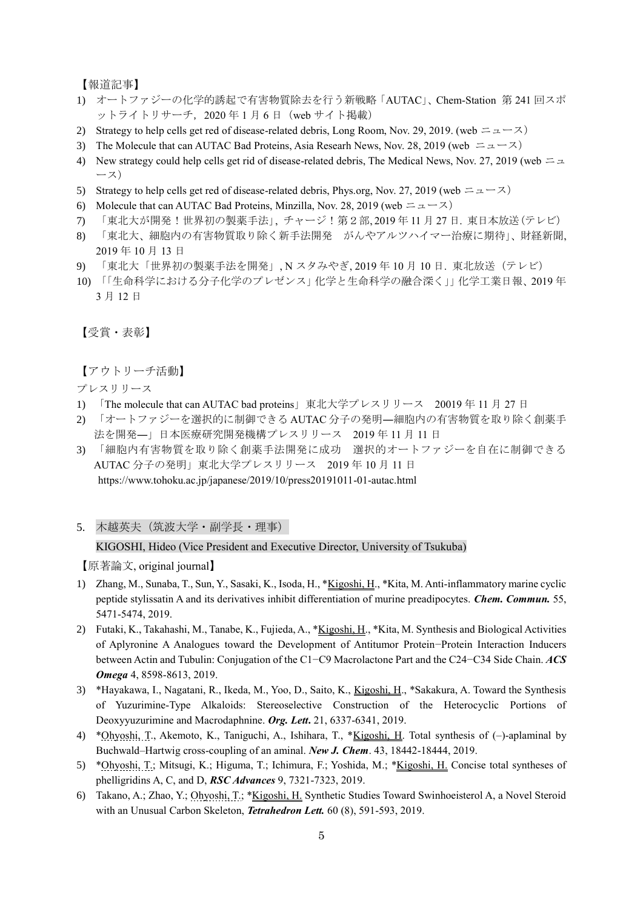【報道記事】

- 1) オートファジーの化学的誘起で有害物質除去を行う新戦略「AUTAC」、Chem-Station 第 241 回スポ ットライトリサーチ, 2020年1月6日 (web サイト掲載)
- 2) Strategy to help cells get red of disease-related debris, Long Room, Nov. 29, 2019. (web  $\pm \pm -\lambda$ )
- 3) The Molecule that can AUTAC Bad Proteins, Asia Researh News, Nov. 28, 2019 (web  $= \pm \sqrt{2}$ )
- 4) New strategy could help cells get rid of disease-related debris, The Medical News, Nov. 27, 2019 (web  $= \pm$ ース)
- 5) Strategy to help cells get red of disease-related debris, Phys.org, Nov. 27, 2019 (web  $= \pm \pm \times$ )
- 6) Molecule that can AUTAC Bad Proteins, Minzilla, Nov. 28, 2019 (web  $= \pm \pm \pm \times$ )
- 7) 「東北大が開発!世界初の製薬手法」, チャージ!第2部, 2019 年 11 月 27 日. 東日本放送(テレビ)
- 8) 「東北大、細胞内の有害物質取り除く新手法開発 がんやアルツハイマー治療に期待」、財経新聞, 2019 年 10 月 13 日
- 9) 「東北大「世界初の製薬手法を開発」, N スタみやぎ, 2019 年 10 月 10 日. 東北放送(テレビ)
- 10) 「「生命科学における分子化学のプレゼンス」化学と生命科学の融合深く」」化学工業日報、2019 年 3 月 12 日

【受賞・表彰】

【アウトリーチ活動】

プレスリリース

- 1) 「The molecule that can AUTAC bad proteins」東北大学プレスリリース 20019 年 11 月 27 日
- 2) 「オートファジーを選択的に制御できる AUTAC 分子の発明―細胞内の有害物質を取り除く創薬手 法を開発―」日本医療研究開発機構プレスリリース 2019 年 11 月 11 日
- 3) 「細胞内有害物質を取り除く創薬手法開発に成功 選択的オートファジーを自在に制御できる AUTAC 分子の発明」東北大学プレスリリース 2019 年 10 月 11 日 https://www.tohoku.ac.jp/japanese/2019/10/press20191011-01-autac.html
- 5. 木越英夫(筑波大学・副学長・理事)

#### KIGOSHI, Hideo (Vice President and Executive Director, University of Tsukuba)

- 1) Zhang, M., Sunaba, T., Sun, Y., Sasaki, K., Isoda, H., \*Kigoshi, H., \*Kita, M. Anti-inflammatory marine cyclic peptide stylissatin A and its derivatives inhibit differentiation of murine preadipocytes. *Chem. Commun.* 55, 5471-5474, 2019.
- 2) Futaki, K., Takahashi, M., Tanabe, K., Fujieda, A., \*Kigoshi, H., \*Kita, M. Synthesis and Biological Activities of Aplyronine A Analogues toward the Development of Antitumor Protein−Protein Interaction Inducers between Actin and Tubulin: Conjugation of the C1−C9 Macrolactone Part and the C24−C34 Side Chain. *ACS Omega* 4, 8598-8613, 2019.
- 3) \*Hayakawa, I., Nagatani, R., Ikeda, M., Yoo, D., Saito, K., Kigoshi, H., \*Sakakura, A. Toward the Synthesis of Yuzurimine-Type Alkaloids: Stereoselective Construction of the Heterocyclic Portions of Deoxyyuzurimine and Macrodaphnine. *Org. Lett***.** 21, 6337-6341, 2019.
- 4) \*Ohyoshi, T., Akemoto, K., Taniguchi, A., Ishihara, T., \*Kigoshi, H. Total synthesis of (–)-aplaminal by Buchwald–Hartwig cross-coupling of an aminal. *New J. Chem*. 43, 18442-18444, 2019.
- 5) \*Ohyoshi, T.; Mitsugi, K.; Higuma, T.; Ichimura, F.; Yoshida, M.; \*Kigoshi, H. Concise total syntheses of phelligridins A, C, and D, *RSC Advances* 9, 7321-7323, 2019.
- 6) Takano, A.; Zhao, Y.; Ohyoshi, T.; \*Kigoshi, H. Synthetic Studies Toward Swinhoeisterol A, a Novel Steroid with an Unusual Carbon Skeleton, *Tetrahedron Lett.* 60 (8), 591-593, 2019.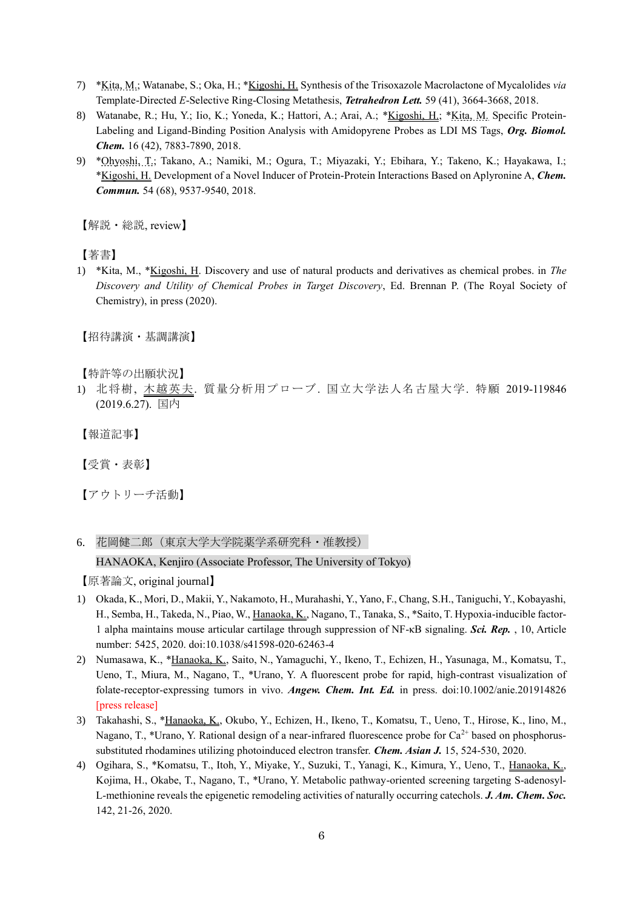- 7) \*Kita, M.; Watanabe, S.; Oka, H.; \*Kigoshi, H. Synthesis of the Trisoxazole Macrolactone of Mycalolides *via* Template-Directed *E*-Selective Ring-Closing Metathesis, *Tetrahedron Lett.* 59 (41), 3664-3668, 2018.
- 8) Watanabe, R.; Hu, Y.; Iio, K.; Yoneda, K.; Hattori, A.; Arai, A.; \*Kigoshi, H.; \*Kita, M. Specific Protein-Labeling and Ligand-Binding Position Analysis with Amidopyrene Probes as LDI MS Tags, *Org. Biomol. Chem.* 16 (42), 7883-7890, 2018.
- 9) \*Ohyoshi, T.; Takano, A.; Namiki, M.; Ogura, T.; Miyazaki, Y.; Ebihara, Y.; Takeno, K.; Hayakawa, I.; \*Kigoshi, H. Development of a Novel Inducer of Protein-Protein Interactions Based on Aplyronine A, *Chem. Commun.* 54 (68), 9537-9540, 2018.

【解説・総説, review】

【著書】

1) \*Kita, M., \*Kigoshi, H. Discovery and use of natural products and derivatives as chemical probes. in *The Discovery and Utility of Chemical Probes in Target Discovery*, Ed. Brennan P. (The Royal Society of Chemistry), in press (2020).

【招待講演・基調講演】

【特許等の出願状況】

1) 北将樹, 木越英夫. 質量分析用プローブ. 国立大学法人名古屋大学. 特願 2019-119846 (2019.6.27). 国内

【報道記事】

【受賞・表彰】

【アウトリーチ活動】

6. 花岡健二郎(東京大学大学院薬学系研究科・准教授)

HANAOKA, Kenjiro (Associate Professor, The University of Tokyo)

- 1) Okada, K., Mori, D., Makii, Y., Nakamoto, H., Murahashi, Y., Yano, F., Chang, S.H., Taniguchi, Y., Kobayashi, H., Semba, H., Takeda, N., Piao, W., Hanaoka, K., Nagano, T., Tanaka, S., \*Saito, T. Hypoxia-inducible factor-1 alpha maintains mouse articular cartilage through suppression of NF-κB signaling. *Sci. Rep.* , 10, Article number: 5425, 2020. doi:10.1038/s41598-020-62463-4
- 2) Numasawa, K., \*Hanaoka, K., Saito, N., Yamaguchi, Y., Ikeno, T., Echizen, H., Yasunaga, M., Komatsu, T., Ueno, T., Miura, M., Nagano, T., \*Urano, Y. A fluorescent probe for rapid, high-contrast visualization of folate‐receptor‐expressing tumors in vivo. *Angew. Chem. Int. Ed.* in press. doi:10.1002/anie.201914826 [press release]
- 3) Takahashi, S., \*Hanaoka, K., Okubo, Y., Echizen, H., Ikeno, T., Komatsu, T., Ueno, T., Hirose, K., Iino, M., Nagano, T., \*Urano, Y. Rational design of a near-infrared fluorescence probe for  $Ca^{2+}$  based on phosphorussubstituted rhodamines utilizing photoinduced electron transfer. *Chem. Asian J.* 15, 524-530, 2020.
- 4) Ogihara, S., \*Komatsu, T., Itoh, Y., Miyake, Y., Suzuki, T., Yanagi, K., Kimura, Y., Ueno, T., Hanaoka, K., Kojima, H., Okabe, T., Nagano, T., \*Urano, Y. Metabolic pathway-oriented screening targeting S-adenosyl-L-methionine reveals the epigenetic remodeling activities of naturally occurring catechols. *J. Am. Chem. Soc.*  142, 21-26, 2020.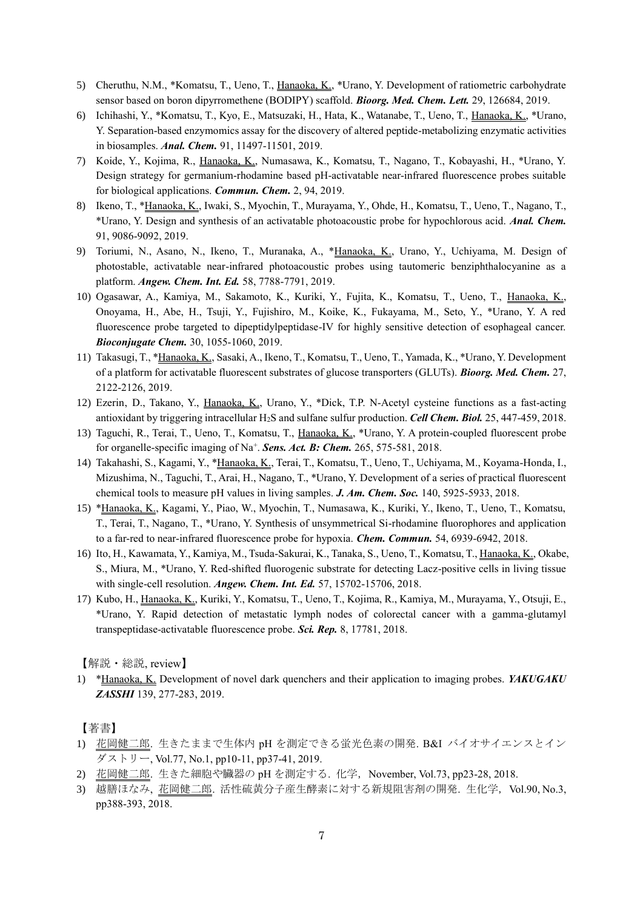- 5) Cheruthu, N.M., \*Komatsu, T., Ueno, T., Hanaoka, K., \*Urano, Y. Development of ratiometric carbohydrate sensor based on boron dipyrromethene (BODIPY) scaffold. *Bioorg. Med. Chem. Lett.* 29, 126684, 2019.
- 6) Ichihashi, Y., \*Komatsu, T., Kyo, E., Matsuzaki, H., Hata, K., Watanabe, T., Ueno, T., Hanaoka, K., \*Urano, Y. Separation-based enzymomics assay for the discovery of altered peptide-metabolizing enzymatic activities in biosamples. *Anal. Chem.* 91, 11497-11501, 2019.
- 7) Koide, Y., Kojima, R., Hanaoka, K., Numasawa, K., Komatsu, T., Nagano, T., Kobayashi, H., \*Urano, Y. Design strategy for germanium-rhodamine based pH-activatable near-infrared fluorescence probes suitable for biological applications. *Commun. Chem.* 2, 94, 2019.
- 8) Ikeno, T., \*Hanaoka, K., Iwaki, S., Myochin, T., Murayama, Y., Ohde, H., Komatsu, T., Ueno, T., Nagano, T., \*Urano, Y. Design and synthesis of an activatable photoacoustic probe for hypochlorous acid. *Anal. Chem.*  91, 9086-9092, 2019.
- 9) Toriumi, N., Asano, N., Ikeno, T., Muranaka, A., \*Hanaoka, K., Urano, Y., Uchiyama, M. Design of photostable, activatable near‐infrared photoacoustic probes using tautomeric benziphthalocyanine as a platform. *Angew. Chem. Int. Ed.* 58, 7788-7791, 2019.
- 10) Ogasawar, A., Kamiya, M., Sakamoto, K., Kuriki, Y., Fujita, K., Komatsu, T., Ueno, T., Hanaoka, K., Onoyama, H., Abe, H., Tsuji, Y., Fujishiro, M., Koike, K., Fukayama, M., Seto, Y., \*Urano, Y. A red fluorescence probe targeted to dipeptidylpeptidase-IV for highly sensitive detection of esophageal cancer. *Bioconjugate Chem.* 30, 1055-1060, 2019.
- 11) Takasugi, T., \*Hanaoka, K., Sasaki, A., Ikeno, T., Komatsu, T., Ueno, T., Yamada, K., \*Urano, Y. Development of a platform for activatable fluorescent substrates of glucose transporters (GLUTs). *Bioorg. Med. Chem.* 27, 2122-2126, 2019.
- 12) Ezerin, D., Takano, Y., Hanaoka, K., Urano, Y., \*Dick, T.P. N-Acetyl cysteine functions as a fast-acting antioxidant by triggering intracellular H2S and sulfane sulfur production. *Cell Chem. Biol.* 25, 447-459, 2018.
- 13) Taguchi, R., Terai, T., Ueno, T., Komatsu, T., Hanaoka, K., \*Urano, Y. A protein-coupled fluorescent probe for organelle-specific imaging of Na<sup>+</sup>. Sens. Act. B: Chem. 265, 575-581, 2018.
- 14) Takahashi, S., Kagami, Y., \*Hanaoka, K., Terai, T., Komatsu, T., Ueno, T., Uchiyama, M., Koyama-Honda, I., Mizushima, N., Taguchi, T., Arai, H., Nagano, T., \*Urano, Y. Development of a series of practical fluorescent chemical tools to measure pH values in living samples. *J. Am. Chem. Soc.* 140, 5925-5933, 2018.
- 15) \*Hanaoka, K., Kagami, Y., Piao, W., Myochin, T., Numasawa, K., Kuriki, Y., Ikeno, T., Ueno, T., Komatsu, T., Terai, T., Nagano, T., \*Urano, Y. Synthesis of unsymmetrical Si-rhodamine fluorophores and application to a far-red to near-infrared fluorescence probe for hypoxia. *Chem. Commun.* 54, 6939-6942, 2018.
- 16) Ito, H., Kawamata, Y., Kamiya, M., Tsuda-Sakurai, K., Tanaka, S., Ueno, T., Komatsu, T., Hanaoka, K., Okabe, S., Miura, M., \*Urano, Y. Red-shifted fluorogenic substrate for detecting Lacz-positive cells in living tissue with single-cell resolution. *Angew. Chem. Int. Ed.* 57, 15702-15706, 2018.
- 17) Kubo, H., Hanaoka, K., Kuriki, Y., Komatsu, T., Ueno, T., Kojima, R., Kamiya, M., Murayama, Y., Otsuji, E., \*Urano, Y. Rapid detection of metastatic lymph nodes of colorectal cancer with a gamma-glutamyl transpeptidase-activatable fluorescence probe. *Sci. Rep.* 8, 17781, 2018.

【解説・総説, review】

1) \*Hanaoka, K. Development of novel dark quenchers and their application to imaging probes. *YAKUGAKU ZASSHI* 139, 277-283, 2019.

【著書】

- 1) 花岡健二郎. 生きたままで生体内 pH を測定できる蛍光色素の開発. B&I バイオサイエンスとイン ダストリー, Vol.77, No.1, pp10-11, pp37-41, 2019.
- 2) 花岡健二郎. 生きた細胞や臓器の pH を測定する. 化学, November, Vol.73, pp23-28, 2018.
- 3) 越膳ほなみ, 花岡健二郎. 活性硫黄分子産生酵素に対する新規阻害剤の開発. 生化学,Vol.90, No.3, pp388-393, 2018.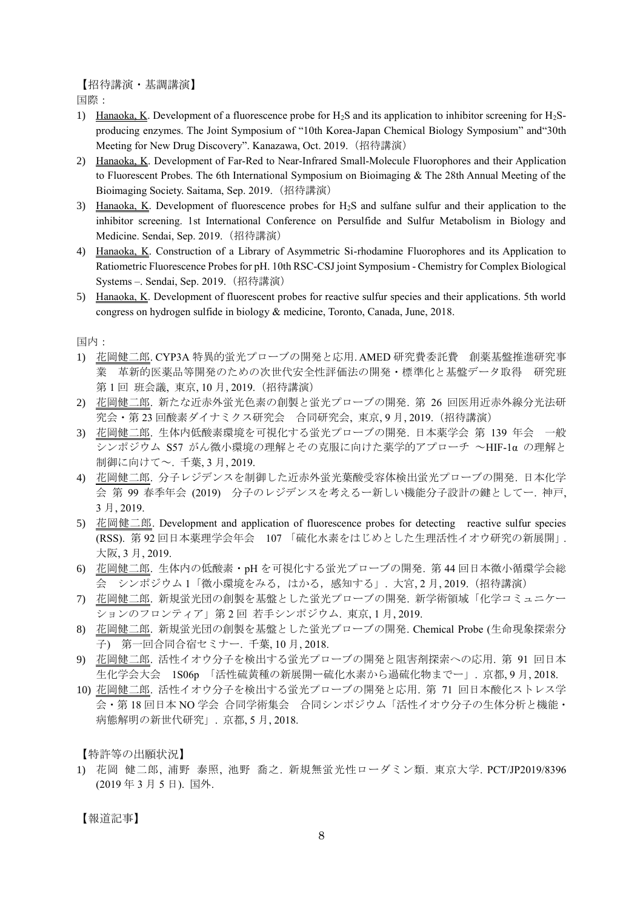【招待講演・基調講演】

国際:

- 1) Hanaoka, K. Development of a fluorescence probe for  $H_2S$  and its application to inhibitor screening for  $H_2S$ producing enzymes. The Joint Symposium of "10th Korea-Japan Chemical Biology Symposium" and"30th Meeting for New Drug Discovery". Kanazawa, Oct. 2019. (招待講演)
- 2) Hanaoka, K. Development of Far-Red to Near-Infrared Small-Molecule Fluorophores and their Application to Fluorescent Probes. The 6th International Symposium on Bioimaging & The 28th Annual Meeting of the Bioimaging Society. Saitama, Sep. 2019.(招待講演)
- 3) Hanaoka, K. Development of fluorescence probes for H2S and sulfane sulfur and their application to the inhibitor screening. 1st International Conference on Persulfide and Sulfur Metabolism in Biology and Medicine. Sendai, Sep. 2019.(招待講演)
- 4) Hanaoka, K. Construction of a Library of Asymmetric Si-rhodamine Fluorophores and its Application to Ratiometric Fluorescence Probes for pH. 10th RSC-CSJ joint Symposium - Chemistry for Complex Biological Systems –. Sendai, Sep. 2019.(招待講演)
- 5) Hanaoka, K. Development of fluorescent probes for reactive sulfur species and their applications. 5th world congress on hydrogen sulfide in biology & medicine, Toronto, Canada, June, 2018.

国内:

- 1) 花岡健二郎. CYP3A 特異的蛍光プローブの開発と応用. AMED 研究費委託費 創薬基盤推進研究事 革新的医薬品等開発のための次世代安全性評価法の開発·標準化と基盤データ取得 研究班 第 1 回 班会議, 東京, 10 月, 2019.(招待講演)
- 2) 花岡健二郎. 新たな近赤外蛍光色素の創製と蛍光プローブの開発. 第 26 回医用近赤外線分光法研 究会・第 23 回酸素ダイナミクス研究会 合同研究会, 東京, 9 月, 2019.(招待講演)
- 3) 花岡健二郎. 生体内低酸素環境を可視化する蛍光プローブの開発. 日本薬学会 第 139 年会 一般 シンポジウム S57 がん微小環境の理解とその克服に向けた薬学的アプローチ ~HIF-1α の理解と 制御に向けて~. 千葉, 3 月, 2019.
- 4) 花岡健二郎. 分子レジデンスを制御した近赤外蛍光葉酸受容体検出蛍光プローブの開発. 日本化学 会 第 99 春季年会 (2019) 分子のレジデンスを考えるー新しい機能分子設計の鍵としてー. 神戸, 3 月, 2019.
- 5) 花岡健二郎. Development and application of fluorescence probes for detecting reactive sulfur species (RSS). 第 92 回日本薬理学会年会 107 「硫化水素をはじめとした生理活性イオウ研究の新展開」. 大阪, 3 月, 2019.
- 6) 花岡健二郎. 生体内の低酸素・pH を可視化する蛍光プローブの開発. 第 44 回日本微小循環学会総 会 シンポジウム 1「微小環境をみる,はかる,感知する」. 大宮, 2 月, 2019.(招待講演)
- 7) 花岡健二郎. 新規蛍光団の創製を基盤とした蛍光プローブの開発. 新学術領域「化学コミュニケー ションのフロンティア」第 2 回 若手シンポジウム. 東京, 1 月, 2019.
- 8) 花岡健二郎. 新規蛍光団の創製を基盤とした蛍光プローブの開発. Chemical Probe (生命現象探索分 子) 第一回合同合宿セミナー. 千葉, 10 月, 2018.
- 9) 花岡健二郎. 活性イオウ分子を検出する蛍光プローブの開発と阻害剤探索への応用. 第 91 回日本 生化学会大会 1S06p 「活性硫黄種の新展開ー硫化水素から過硫化物までー」. 京都, 9 月, 2018.
- 10) 花岡健二郎. 活性イオウ分子を検出する蛍光プローブの開発と応用. 第 71 回日本酸化ストレス学 会・第 18 回日本 NO 学会 合同学術集会 合同シンポジウム「活性イオウ分子の生体分析と機能・ 病態解明の新世代研究」. 京都, 5 月, 2018.

【特許等の出願状況】

1) 花岡 健二郎, 浦野 泰照, 池野 喬之. 新規無蛍光性ローダミン類. 東京大学. PCT/JP2019/8396 (2019 年 3 月 5 日). 国外.

【報道記事】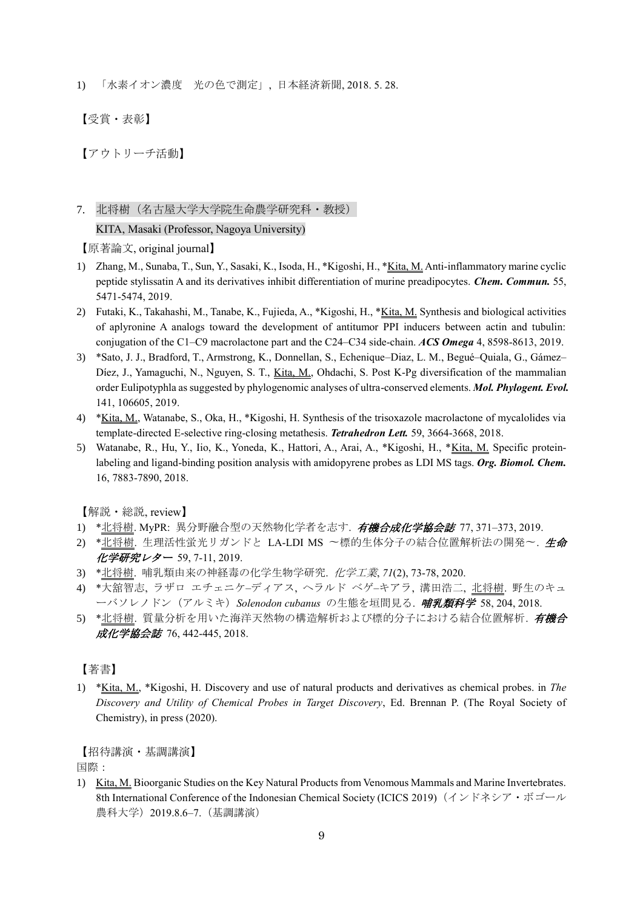1) 「水素イオン濃度 光の色で測定」, 日本経済新聞, 2018. 5. 28.

【受賞・表彰】

【アウトリーチ活動】

# 7. 北将樹(名古屋大学大学院生命農学研究科・教授)

#### KITA, Masaki (Professor, Nagoya University)

【原著論文, original journal】

- 1) Zhang, M., Sunaba, T., Sun, Y., Sasaki, K., Isoda, H., \*Kigoshi, H., \*Kita, M. Anti-inflammatory marine cyclic peptide stylissatin A and its derivatives inhibit differentiation of murine preadipocytes. *Chem. Commun.* 55, 5471-5474, 2019.
- 2) Futaki, K., Takahashi, M., Tanabe, K., Fujieda, A., \*Kigoshi, H., \*Kita, M. Synthesis and biological activities of aplyronine A analogs toward the development of antitumor PPI inducers between actin and tubulin: conjugation of the C1–C9 macrolactone part and the C24–C34 side-chain. *ACS Omega* 4, 8598-8613, 2019.
- 3) \*Sato, J. J., Bradford, T., Armstrong, K., Donnellan, S., Echenique–Diaz, L. M., Begué–Quiala, G., Gámez– Díez, J., Yamaguchi, N., Nguyen, S. T., Kita, M., Ohdachi, S. Post K-Pg diversification of the mammalian order Eulipotyphla as suggested by phylogenomic analyses of ultra-conserved elements. *Mol. Phylogent. Evol.* 141, 106605, 2019.
- 4) \*Kita, M., Watanabe, S., Oka, H., \*Kigoshi, H. Synthesis of the trisoxazole macrolactone of mycalolides via template-directed E-selective ring-closing metathesis. *Tetrahedron Lett.* 59, 3664-3668, 2018.
- 5) Watanabe, R., Hu, Y., Iio, K., Yoneda, K., Hattori, A., Arai, A., \*Kigoshi, H., \*Kita, M. Specific proteinlabeling and ligand-binding position analysis with amidopyrene probes as LDI MS tags. *Org. Biomol. Chem.*  16, 7883-7890, 2018.

【解説・総説, review】

- 1) \*北将樹. MyPR: 異分野融合型の天然物化学者を志す. 有機合成化学協会誌 77, 371-373, 2019.
- 2) \*北将樹. 生理活性蛍光リガンドと LA-LDI MS 〜標的生体分子の結合位置解析法の開発〜. 生命 化学研究レター 59, 7-11, 2019.
- 3) \*北将樹. 哺乳類由来の神経毒の化学生物学研究. 化学工業, *71*(2), 73-78, 2020.
- 4) \*大舘智志, ラザロ エチェニケ–ディアス, ヘラルド ベゲ–キアラ, 溝田浩二, 北将樹. 野生のキュ ーバソレノドン(アルミキ)*Solenodon cubanus* の生態を垣間見る. 哺乳類科学 58, 204, 2018.
- 5) \*北将樹. 質量分析を用いた海洋天然物の構造解析および標的分子における結合位置解析. 有機合 成化学協会誌 76, 442-445, 2018.

## 【著書】

1) \*Kita, M., \*Kigoshi, H. Discovery and use of natural products and derivatives as chemical probes. in *The Discovery and Utility of Chemical Probes in Target Discovery*, Ed. Brennan P. (The Royal Society of Chemistry), in press (2020).

【招待講演・基調講演】

国際:

1) Kita, M. Bioorganic Studies on the Key Natural Products from Venomous Mammals and Marine Invertebrates. 8th International Conference of the Indonesian Chemical Society (ICICS 2019)(インドネシア・ボゴール 農科大学)2019.8.6–7.(基調講演)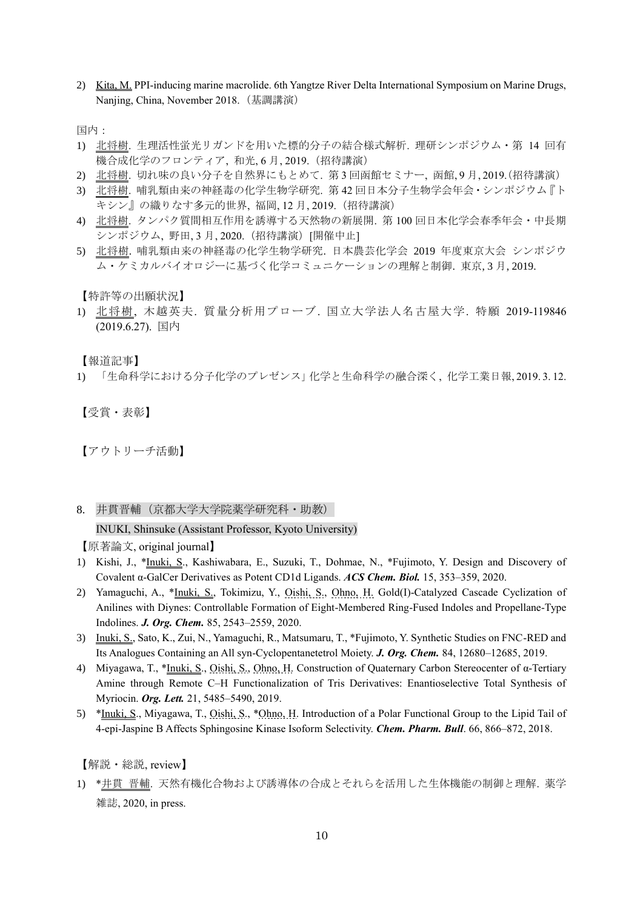2) Kita, M. PPI-inducing marine macrolide. 6th Yangtze River Delta International Symposium on Marine Drugs, Nanjing, China, November 2018.(基調講演)

国内:

- 1) 北将樹. 生理活性蛍光リガンドを用いた標的分子の結合様式解析. 理研シンポジウム・第 14 回有 機合成化学のフロンティア, 和光, 6 月, 2019.(招待講演)
- 2) 北将樹. 切れ味の良い分子を自然界にもとめて. 第 3 回函館セミナー, 函館, 9 月, 2019.(招待講演)
- 3) 北将樹. 哺乳類由来の神経毒の化学生物学研究. 第 42 回日本分子生物学会年会・シンポジウム『ト キシン』の織りなす多元的世界, 福岡, 12 月, 2019.(招待講演)
- 4) 北将樹. タンパク質間相互作用を誘導する天然物の新展開. 第 100 回日本化学会春季年会・中長期 シンポジウム, 野田, 3月, 2020. (招待講演)「開催中止1
- 5) 北将樹. 哺乳類由来の神経毒の化学生物学研究. 日本農芸化学会 2019 年度東京大会 シンポジウ ム・ケミカルバイオロジーに基づく化学コミュニケーションの理解と制御. 東京, 3 月, 2019.

【特許等の出願状況】

1) 北将樹, 木越英夫. 質量分析用プローブ. 国立大学法人名古屋大学. 特願 2019-119846 (2019.6.27). 国内

【報道記事】

1) 「生命科学における分子化学のプレゼンス」化学と生命科学の融合深く, 化学工業日報, 2019. 3. 12.

【受賞・表彰】

【アウトリーチ活動】

8. 井貫晋輔(京都大学大学院薬学研究科・助教)

INUKI, Shinsuke (Assistant Professor, Kyoto University)

【原著論文, original journal】

- 1) Kishi, J., \*Inuki, S., Kashiwabara, E., Suzuki, T., Dohmae, N., \*Fujimoto, Y. Design and Discovery of Covalent α-GalCer Derivatives as Potent CD1d Ligands. *ACS Chem. Biol.* 15, 353–359, 2020.
- 2) Yamaguchi, A., \*Inuki, S., Tokimizu, Y., Oishi, S., Ohno, H. Gold(I)-Catalyzed Cascade Cyclization of Anilines with Diynes: Controllable Formation of Eight-Membered Ring-Fused Indoles and Propellane-Type Indolines. *J. Org. Chem.* 85, 2543–2559, 2020.
- 3) Inuki, S., Sato, K., Zui, N., Yamaguchi, R., Matsumaru, T., \*Fujimoto, Y. Synthetic Studies on FNC-RED and Its Analogues Containing an All syn-Cyclopentanetetrol Moiety. *J. Org. Chem.* 84, 12680–12685, 2019.
- 4) Miyagawa, T., \*Inuki, S., Oishi, S., Ohno, H. Construction of Quaternary Carbon Stereocenter of α-Tertiary Amine through Remote C–H Functionalization of Tris Derivatives: Enantioselective Total Synthesis of Myriocin. *Org. Lett.* 21, 5485–5490, 2019.
- 5) \*Inuki, S., Miyagawa, T., Oishi, S., \*Ohno, H. Introduction of a Polar Functional Group to the Lipid Tail of 4-epi-Jaspine B Affects Sphingosine Kinase Isoform Selectivity. *Chem. Pharm. Bull*. 66, 866–872, 2018.

【解説・総説, review】

1) \*井貫 晋輔. 天然有機化合物および誘導体の合成とそれらを活用した生体機能の制御と理解. 薬学 雑誌, 2020, in press.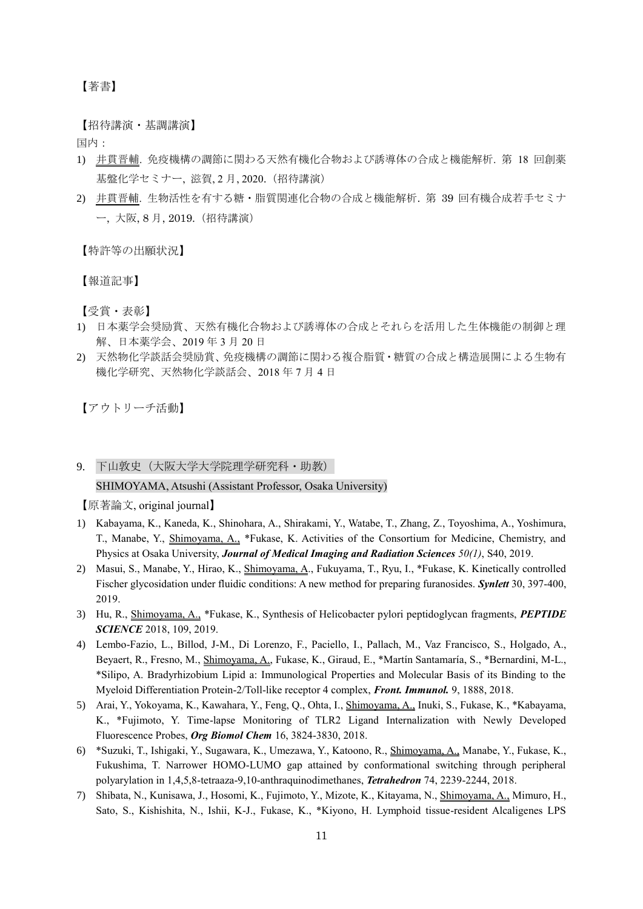【著書】

【招待講演・基調講演】

国内:

- 1) 井貫晋輔. 免疫機構の調節に関わる天然有機化合物および誘導体の合成と機能解析. 第 18 回創薬 基盤化学セミナー,滋賀, 2月, 2020. (招待講演)
- 2) 井貫晋輔. 生物活性を有する糖・脂質関連化合物の合成と機能解析. 第 39 回有機合成若手セミナ ー, 大阪, 8 月, 2019.(招待講演)

【特許等の出願状況】

【報道記事】

【受賞・表彰】

- 1) 日本薬学会奨励賞、天然有機化合物および誘導体の合成とそれらを活用した生体機能の制御と理 解、日本薬学会、2019 年 3 月 20 日
- 2) 天然物化学談話会奨励賞、免疫機構の調節に関わる複合脂質・糖質の合成と構造展開による生物有 機化学研究、天然物化学談話会、2018 年 7 月 4 日

【アウトリーチ活動】

9. 下山敦史 (大阪大学大学院理学研究科·助教) SHIMOYAMA, Atsushi (Assistant Professor, Osaka University)

- 1) Kabayama, K., Kaneda, K., Shinohara, A., Shirakami, Y., Watabe, T., Zhang, Z., Toyoshima, A., Yoshimura, T., Manabe, Y., Shimoyama, A., \*Fukase, K. Activities of the Consortium for Medicine, Chemistry, and Physics at Osaka University, *Journal of Medical Imaging and Radiation Sciences 50(1)*, S40, 2019.
- 2) Masui, S., Manabe, Y., Hirao, K., Shimoyama, A., Fukuyama, T., Ryu, I., \*Fukase, K. Kinetically controlled Fischer glycosidation under fluidic conditions: A new method for preparing furanosides. *Synlett* 30, 397-400, 2019.
- 3) Hu, R., Shimoyama, A., \*Fukase, K., Synthesis of Helicobacter pylori peptidoglycan fragments, *PEPTIDE SCIENCE* 2018, 109, 2019.
- 4) Lembo-Fazio, L., Billod, J-M., Di Lorenzo, F., Paciello, I., Pallach, M., Vaz Francisco, S., Holgado, A., Beyaert, R., Fresno, M., Shimoyama, A., Fukase, K., Giraud, E., \*Martín Santamaría, S., \*Bernardini, M-L., \*Silipo, A. Bradyrhizobium Lipid a: Immunological Properties and Molecular Basis of its Binding to the Myeloid Differentiation Protein-2/Toll-like receptor 4 complex, *Front. Immunol.* 9, 1888, 2018.
- 5) Arai, Y., Yokoyama, K., Kawahara, Y., Feng, Q., Ohta, I., Shimoyama, A., Inuki, S., Fukase, K., \*Kabayama, K., \*Fujimoto, Y. Time-lapse Monitoring of TLR2 Ligand Internalization with Newly Developed Fluorescence Probes, *Org Biomol Chem* 16, 3824-3830, 2018.
- 6) \*Suzuki, T., Ishigaki, Y., Sugawara, K., Umezawa, Y., Katoono, R., Shimoyama, A., Manabe, Y., Fukase, K., Fukushima, T. Narrower HOMO-LUMO gap attained by conformational switching through peripheral polyarylation in 1,4,5,8-tetraaza-9,10-anthraquinodimethanes, *Tetrahedron* 74, 2239-2244, 2018.
- 7) Shibata, N., Kunisawa, J., Hosomi, K., Fujimoto, Y., Mizote, K., Kitayama, N., Shimoyama, A., Mimuro, H., Sato, S., Kishishita, N., Ishii, K-J., Fukase, K., \*Kiyono, H. Lymphoid tissue-resident Alcaligenes LPS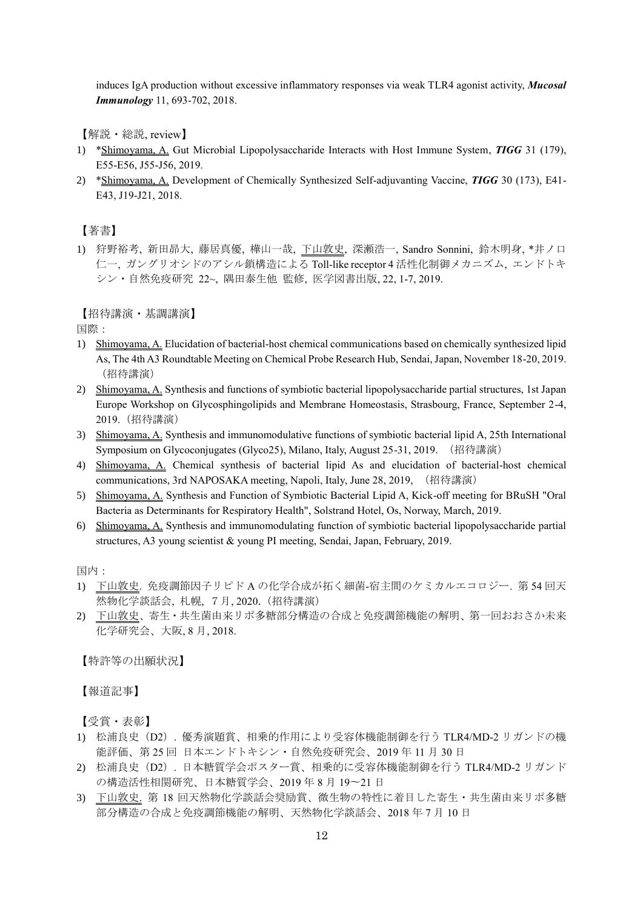induces IgA production without excessive inflammatory responses via weak TLR4 agonist activity, *Mucosal Immunology* 11, 693-702, 2018.

【解説・総説, review】

- 1) \*Shimoyama, A. Gut Microbial Lipopolysaccharide Interacts with Host Immune System, *TIGG* 31 (179), E55-E56, J55-J56, 2019.
- 2) \*Shimoyama, A. Development of Chemically Synthesized Self-adjuvanting Vaccine, *TIGG* 30 (173), E41- E43, J19-J21, 2018.

【著書】

1) 狩野裕考, 新田昴大, 藤居真優, 樺山一哉, 下山敦史, 深瀬浩一, Sandro Sonnini, 鈴木明身, \*井ノ口 仁一, ガングリオシドのアシル鎖構造による Toll-like receptor 4 活性化制御メカニズム, エンドトキ シン・自然免疫研究 22~, 隅田泰生他 監修, 医学図書出版, 22, 1-7, 2019.

【招待講演・基調講演】

国際:

- 1) Shimoyama, A. Elucidation of bacterial-host chemical communications based on chemically synthesized lipid As, The 4th A3 Roundtable Meeting on Chemical Probe Research Hub, Sendai, Japan, November 18-20, 2019. (招待講演)
- 2) Shimoyama, A. Synthesis and functions of symbiotic bacterial lipopolysaccharide partial structures, 1st Japan Europe Workshop on Glycosphingolipids and Membrane Homeostasis, Strasbourg, France, September 2-4, 2019.(招待講演)
- 3) Shimoyama, A. Synthesis and immunomodulative functions of symbiotic bacterial lipid A, 25th International Symposium on Glycoconjugates (Glyco25), Milano, Italy, August 25-31, 2019. (招待講演)
- 4) Shimoyama, A. Chemical synthesis of bacterial lipid As and elucidation of bacterial-host chemical communications, 3rd NAPOSAKA meeting, Napoli, Italy, June 28, 2019, (招待講演)
- 5) Shimoyama, A. Synthesis and Function of Symbiotic Bacterial Lipid A, Kick-off meeting for BRuSH "Oral Bacteria as Determinants for Respiratory Health", Solstrand Hotel, Os, Norway, March, 2019.
- 6) Shimoyama, A. Synthesis and immunomodulating function of symbiotic bacterial lipopolysaccharide partial structures, A3 young scientist & young PI meeting, Sendai, Japan, February, 2019.

国内:

- 1) 下山敦史. 免疫調節因子リピド A の化学合成が拓く細菌-宿主間のケミカルエコロジー. 第 54 回天 然物化学談話会, 札幌, 7月, 2020.(招待講演)
- 2) 下山敦史、寄生・共生菌由来リポ多糖部分構造の合成と免疫調節機能の解明、第一回おおさか未来 化学研究会、大阪, 8 月, 2018.

【特許等の出願状況】

【報道記事】

【受賞・表彰】

- 1) 松浦良史(D2). 優秀演題賞、相乗的作用により受容体機能制御を行う TLR4/MD-2 リガンドの機 能評価、第 25 回 日本エンドトキシン・自然免疫研究会、2019 年 11 月 30 日
- 2) 松浦良史(D2). 日本糖質学会ポスター賞、相乗的に受容体機能制御を行う TLR4/MD-2 リガンド の構造活性相関研究、日本糖質学会、2019 年 8 月 19〜21 日
- 3) 下山敦史. 第 18 回天然物化学談話会奨励賞、微生物の特性に着目した寄生・共生菌由来リポ多糖 部分構造の合成と免疫調節機能の解明、天然物化学談話会、2018 年 7 月 10 日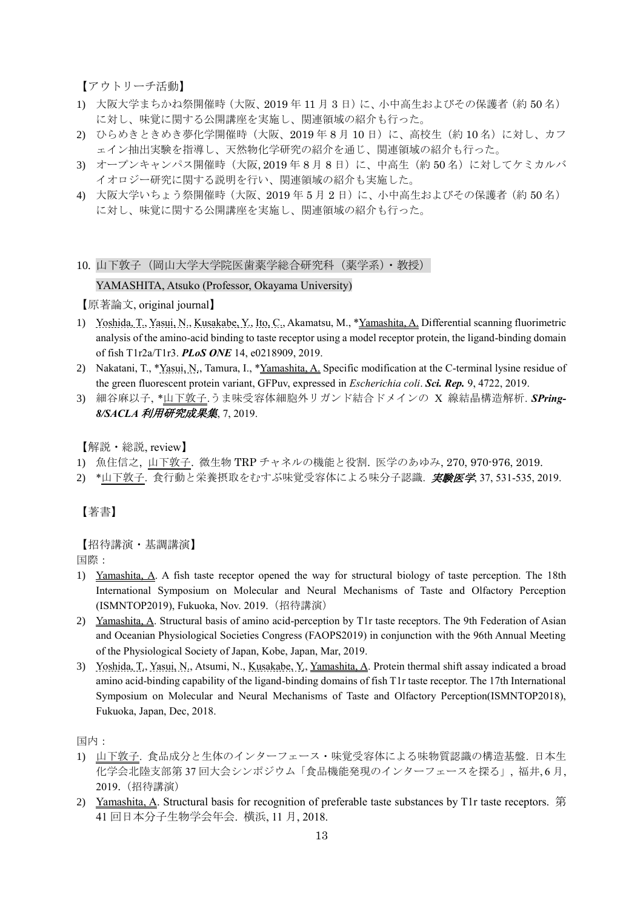【アウトリーチ活動】

- 1) 大阪大学まちかね祭開催時(大阪、2019 年 11 月 3 日)に、小中高生およびその保護者(約 50 名) に対し、味覚に関する公開講座を実施し、関連領域の紹介も行った。
- 2) ひらめきときめき夢化学開催時(大阪、2019年8月10日)に、高校生(約10名)に対し、カフ ェイン抽出実験を指導し、天然物化学研究の紹介を通じ、関連領域の紹介も行った。
- 3) オープンキャンパス開催時(大阪, 2019年8月8日)に、中高生(約50名)に対してケミカルバ イオロジー研究に関する説明を行い、関連領域の紹介も実施した。
- 4) 大阪大学いちょう祭開催時(大阪、2019 年 5 月 2 日)に、小中高生およびその保護者(約 50 名) に対し、味覚に関する公開講座を実施し、関連領域の紹介も行った。

# 10. 山下敦子(岡山大学大学院医歯薬学総合研究科(薬学系)・教授)

#### YAMASHITA, Atsuko (Professor, Okayama University)

【原著論文, original journal】

- 1) Yoshida, T., Yasui, N., Kusakabe, Y., Ito, C., Akamatsu, M., \*Yamashita, A. Differential scanning fluorimetric analysis of the amino-acid binding to taste receptor using a model receptor protein, the ligand-binding domain of fish T1r2a/T1r3. *PLoS ONE* 14, e0218909, 2019.
- 2) Nakatani, T., \*Yasui, N., Tamura, I., \*Yamashita, A. Specific modification at the C-terminal lysine residue of the green fluorescent protein variant, GFPuv, expressed in *Escherichia coli*. *Sci. Rep.* 9, 4722, 2019.
- 3) 細谷麻以子, \*山下敦子.うま味受容体細胞外リガンド結合ドメインの X 線結晶構造解析. *SPring-8/SACLA* 利用研究成果集, 7, 2019.

【解説・総説, review】

- 1) 魚住信之, 山下敦子. 微生物 TRP チャネルの機能と役割. 医学のあゆみ, 270, 970-976, 2019.
- 2) \*山下敦子. 食行動と栄養摂取をむすぶ味覚受容体による味分子認識. 実験医学, 37, 531-535, 2019.

【著書】

【招待講演・基調講演】

国際:

- 1) Yamashita, A. A fish taste receptor opened the way for structural biology of taste perception. The 18th International Symposium on Molecular and Neural Mechanisms of Taste and Olfactory Perception (ISMNTOP2019), Fukuoka, Nov. 2019.(招待講演)
- 2) Yamashita, A. Structural basis of amino acid-perception by T1r taste receptors. The 9th Federation of Asian and Oceanian Physiological Societies Congress (FAOPS2019) in conjunction with the 96th Annual Meeting of the Physiological Society of Japan, Kobe, Japan, Mar, 2019.
- 3) Yoshida, T., Yasui, N., Atsumi, N., Kusakabe, Y., Yamashita, A. Protein thermal shift assay indicated a broad amino acid-binding capability of the ligand-binding domains of fish T1r taste receptor. The 17th International Symposium on Molecular and Neural Mechanisms of Taste and Olfactory Perception(ISMNTOP2018), Fukuoka, Japan, Dec, 2018.

国内:

- 1) 山下敦子. 食品成分と生体のインターフェース・味覚受容体による味物質認識の構造基盤. 日本生 化学会北陸支部第 37 回大会シンポジウム「食品機能発現のインターフェースを探る」, 福井, 6 月, 2019.(招待講演)
- 2) Yamashita, A. Structural basis for recognition of preferable taste substances by T1r taste receptors. 第 41 回日本分子生物学会年会. 横浜, 11 月, 2018.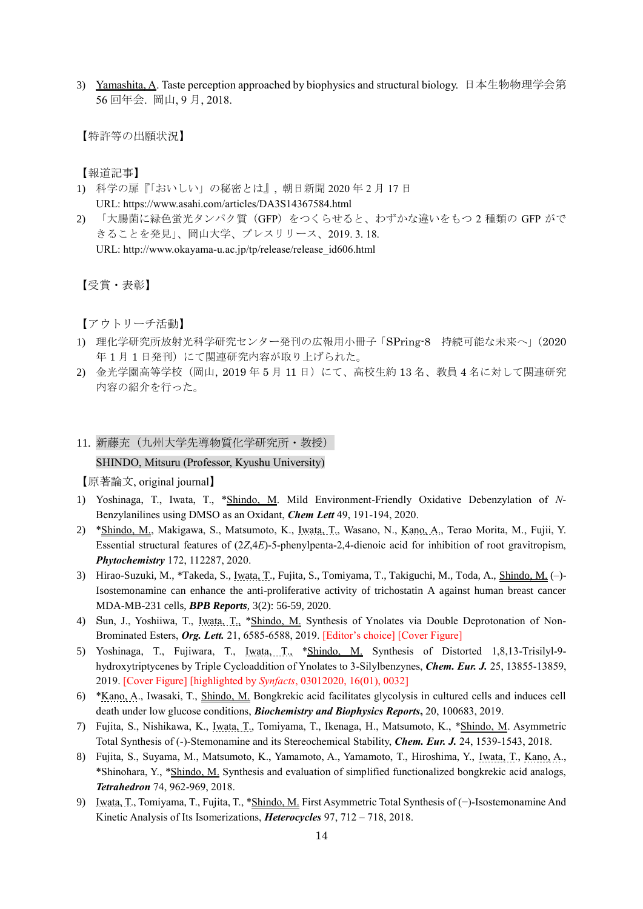3) Yamashita, A. Taste perception approached by biophysics and structural biology. 日本生物物理学会第 56 回年会. 岡山, 9 月, 2018.

【特許等の出願状況】

【報道記事】

- 1) 科学の扉『「おいしい」の秘密とは』, 朝日新聞 2020 年 2 月 17 日 URL: https://www.asahi.com/articles/DA3S14367584.html
- 2) 「大腸菌に緑色蛍光タンパク質 (GFP) をつくらせると、わずかな違いをもつ 2 種類の GFP がで きることを発見」、岡山大学、プレスリリース、2019. 3. 18. URL: http://www.okayama-u.ac.jp/tp/release/release\_id606.html

【受賞・表彰】

【アウトリーチ活動】

- 1) 理化学研究所放射光科学研究センター発刊の広報用小冊子「SPring-8 持続可能な未来へ」(2020 年 1 月 1 日発刊)にて関連研究内容が取り上げられた。
- 2) 金光学園高等学校 (岡山, 2019年5月11日)にて、高校生約13名、教員4名に対して関連研究 内容の紹介を行った。
- 11. 新藤充(九州大学先導物質化学研究所·教授)

SHINDO, Mitsuru (Professor, Kyushu University)

- 1) Yoshinaga, T., Iwata, T., \*Shindo, M. Mild Environment-Friendly Oxidative Debenzylation of *N*-Benzylanilines using DMSO as an Oxidant, *Chem Lett* 49, 191-194, 2020.
- 2) \*Shindo, M., Makigawa, S., Matsumoto, K., Iwata, T., Wasano, N., Kano, A., Terao Morita, M., Fujii, Y. Essential structural features of (2*Z*,4*E*)-5-phenylpenta-2,4-dienoic acid for inhibition of root gravitropism, *Phytochemistry* 172, 112287, 2020.
- 3) Hirao-Suzuki, M., \*Takeda, S., Iwata, T., Fujita, S., Tomiyama, T., Takiguchi, M., Toda, A., Shindo, M. (–)- Isostemonamine can enhance the anti-proliferative activity of trichostatin A against human breast cancer MDA-MB-231 cells, *BPB Reports*, 3(2): 56-59, 2020.
- 4) Sun, J., Yoshiiwa, T., Iwata, T., \*Shindo, M. Synthesis of Ynolates via Double Deprotonation of Non-Brominated Esters, *Org. Lett.* 21, 6585-6588, 2019. [Editor's choice] [Cover Figure]
- 5) Yoshinaga, T., Fujiwara, T., Iwata, T., \*Shindo, M. Synthesis of Distorted 1,8,13-Trisilyl-9 hydroxytriptycenes by Triple Cycloaddition of Ynolates to 3-Silylbenzynes, *Chem. Eur. J.* 25, 13855-13859, 2019. [Cover Figure] [highlighted by *Synfacts*, 03012020, 16(01), 0032]
- 6) \*Kano, A., Iwasaki, T., Shindo, M. Bongkrekic acid facilitates glycolysis in cultured cells and induces cell death under low glucose conditions, *Biochemistry and Biophysics Reports***,** 20, 100683, 2019.
- 7) Fujita, S., Nishikawa, K., Iwata, T., Tomiyama, T., Ikenaga, H., Matsumoto, K., \*Shindo, M. Asymmetric Total Synthesis of (-)-Stemonamine and its Stereochemical Stability, *Chem. Eur. J.* 24, 1539-1543, 2018.
- 8) Fujita, S., Suyama, M., Matsumoto, K., Yamamoto, A., Yamamoto, T., Hiroshima, Y., Iwata, T., Kano, A., \*Shinohara, Y., \*Shindo, M. Synthesis and evaluation of simplified functionalized bongkrekic acid analogs, *Tetrahedron* 74, 962-969, 2018.
- 9) Iwata, T., Tomiyama, T., Fujita, T., \*Shindo, M. First Asymmetric Total Synthesis of (−)-Isostemonamine And Kinetic Analysis of Its Isomerizations, *Heterocycles* 97, 712 – 718, 2018.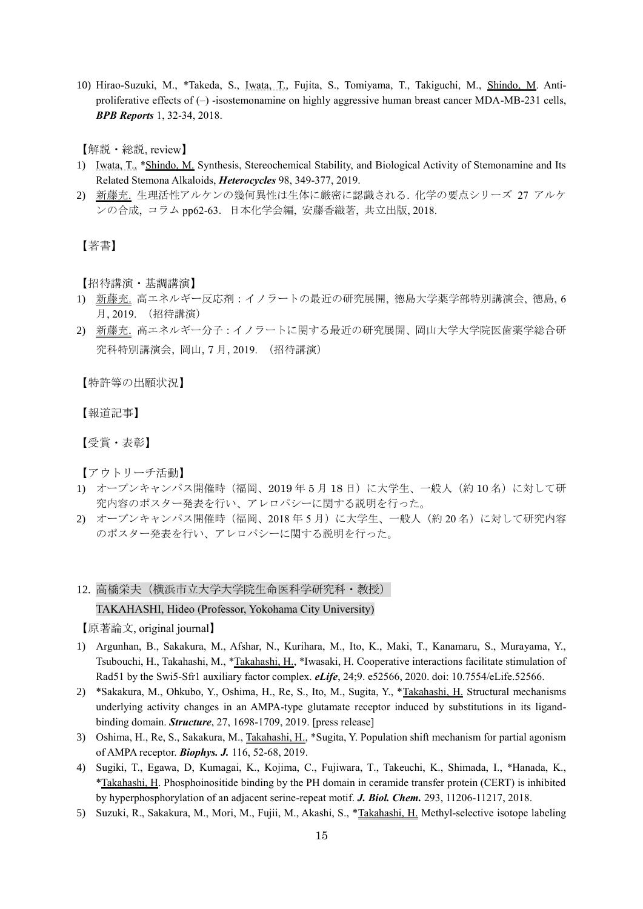10) Hirao-Suzuki, M., \*Takeda, S., Iwata, T., Fujita, S., Tomiyama, T., Takiguchi, M., Shindo, M. Antiproliferative effects of  $(-)$  -isostemonamine on highly aggressive human breast cancer MDA-MB-231 cells, *BPB Reports* 1, 32-34, 2018.

【解説・総説, review】

- 1) Iwata, T., \*Shindo, M. Synthesis, Stereochemical Stability, and Biological Activity of Stemonamine and Its Related Stemona Alkaloids, *Heterocycles* 98, 349-377, 2019.
- 2) 新藤充. 生理活性アルケンの幾何異性は生体に厳密に認識される. 化学の要点シリーズ 27 アルケ ンの合成, コラム pp62-63.日本化学会編, 安藤香織著, 共立出版, 2018.

# 【著書】

【招待講演·基調講演】

- 1) 新藤充. 高エネルギー反応剤:イノラートの最近の研究展開, 徳島大学薬学部特別講演会, 徳島, 6 月, 2019. (招待講演)
- 2) 新藤充. 高エネルギー分子:イノラートに関する最近の研究展開、岡山大学大学院医歯薬学総合研 究科特別講演会, 岡山, 7 月, 2019. (招待講演)

【特許等の出願状況】

【報道記事】

【受賞・表彰】

【アウトリーチ活動】

- 1) オープンキャンパス開催時(福岡、2019年5月18日)に大学生、一般人(約10名)に対して研 究内容のポスター発表を行い、アレロパシーに関する説明を行った。
- 2) オープンキャンパス開催時 (福岡、2018年5月)に大学生、一般人 (約 20名)に対して研究内容 のポスター発表を行い、アレロパシーに関する説明を行った。
- 12. 高橋栄夫(横浜市立大学大学院生命医科学研究科・教授) TAKAHASHI, Hideo (Professor, Yokohama City University)

- 1) Argunhan, B., Sakakura, M., Afshar, N., Kurihara, M., Ito, K., Maki, T., Kanamaru, S., Murayama, Y., Tsubouchi, H., Takahashi, M., \*Takahashi, H., \*Iwasaki, H. Cooperative interactions facilitate stimulation of Rad51 by the Swi5-Sfr1 auxiliary factor complex. *eLife*, 24;9. e52566, 2020. doi: 10.7554/eLife.52566.
- 2) \*Sakakura, M., Ohkubo, Y., Oshima, H., Re, S., Ito, M., Sugita, Y., \*Takahashi, H. Structural mechanisms underlying activity changes in an AMPA-type glutamate receptor induced by substitutions in its ligandbinding domain. *Structure*, 27, 1698-1709, 2019. [press release]
- 3) Oshima, H., Re, S., Sakakura, M., Takahashi, H., \*Sugita, Y. Population shift mechanism for partial agonism of AMPA receptor. *Biophys. J.* 116, 52-68, 2019.
- 4) Sugiki, T., Egawa, D, Kumagai, K., Kojima, C., Fujiwara, T., Takeuchi, K., Shimada, I., \*Hanada, K., \*Takahashi, H. Phosphoinositide binding by the PH domain in ceramide transfer protein (CERT) is inhibited by hyperphosphorylation of an adjacent serine-repeat motif. *J. Biol. Chem.* 293, 11206-11217, 2018.
- 5) Suzuki, R., Sakakura, M., Mori, M., Fujii, M., Akashi, S., \*Takahashi, H. Methyl-selective isotope labeling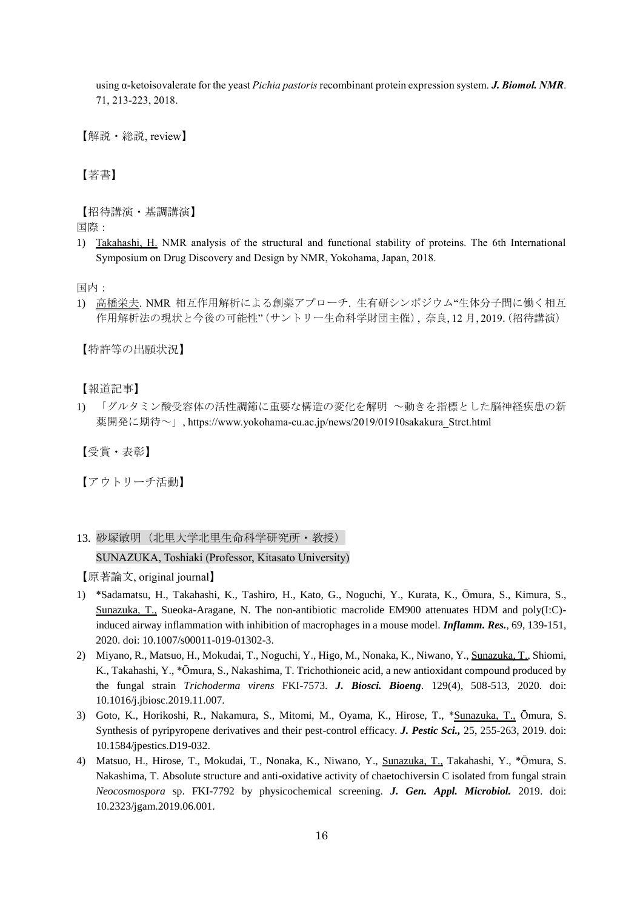using α-ketoisovalerate for the yeast *Pichia pastoris*recombinant protein expression system. *J. Biomol. NMR*. 71, 213-223, 2018.

【解説・総説, review】

【著書】

【招待講演・基調講演】

国際:

1) Takahashi, H. NMR analysis of the structural and functional stability of proteins. The 6th International Symposium on Drug Discovery and Design by NMR, Yokohama, Japan, 2018.

国内:

1) 高橋栄夫. NMR 相互作用解析による創薬アプローチ. 生有研シンポジウム"生体分子間に働く相互 作用解析法の現状と今後の可能性"(サントリー生命科学財団主催), 奈良, 12 月, 2019. (招待講演)

【特許等の出願状況】

【報道記事】

1) 「グルタミン酸受容体の活性調節に重要な構造の変化を解明 ~動きを指標とした脳神経疾患の新 薬開発に期待~」, https://www.yokohama-cu.ac.jp/news/2019/01910sakakura\_Strct.html

【受賞・表彰】

【アウトリーチ活動】

13. 砂塚敏明(北里大学北里生命科学研究所・教授)

#### SUNAZUKA, Toshiaki (Professor, Kitasato University)

- 1) \*Sadamatsu, H., Takahashi, K., Tashiro, H., Kato, G., Noguchi, Y., Kurata, K., Ōmura, S., Kimura, S., Sunazuka, T., Sueoka-Aragane, N. The non-antibiotic macrolide EM900 attenuates HDM and poly(I:C) induced airway inflammation with inhibition of macrophages in a mouse model. *Inflamm. Res.*, 69, 139-151, 2020. doi: 10.1007/s00011-019-01302-3.
- 2) Miyano, R., Matsuo, H., Mokudai, T., Noguchi, Y., Higo, M., Nonaka, K., Niwano, Y., Sunazuka, T., Shiomi, K., Takahashi, Y., \*Ōmura, S., Nakashima, T. Trichothioneic acid, a new antioxidant compound produced by the fungal strain *Trichoderma virens* FKI-7573. *J. Biosci. Bioeng*. 129(4), 508-513, 2020. doi: 10.1016/j.jbiosc.2019.11.007.
- 3) Goto, K., Horikoshi, R., Nakamura, S., Mitomi, M., Oyama, K., Hirose, T., \*Sunazuka, T., Ōmura, S. Synthesis of pyripyropene derivatives and their pest-control efficacy. *J. Pestic Sci.,* 25, 255-263, 2019. doi: 10.1584/jpestics.D19-032.
- 4) Matsuo, H., Hirose, T., Mokudai, T., Nonaka, K., Niwano, Y., Sunazuka, T., Takahashi, Y., \*Ōmura, S. Nakashima, T. Absolute structure and anti-oxidative activity of chaetochiversin C isolated from fungal strain *Neocosmospora* sp. FKI-7792 by physicochemical screening. *J. Gen. Appl. Microbiol.* 2019. doi: 10.2323/jgam.2019.06.001.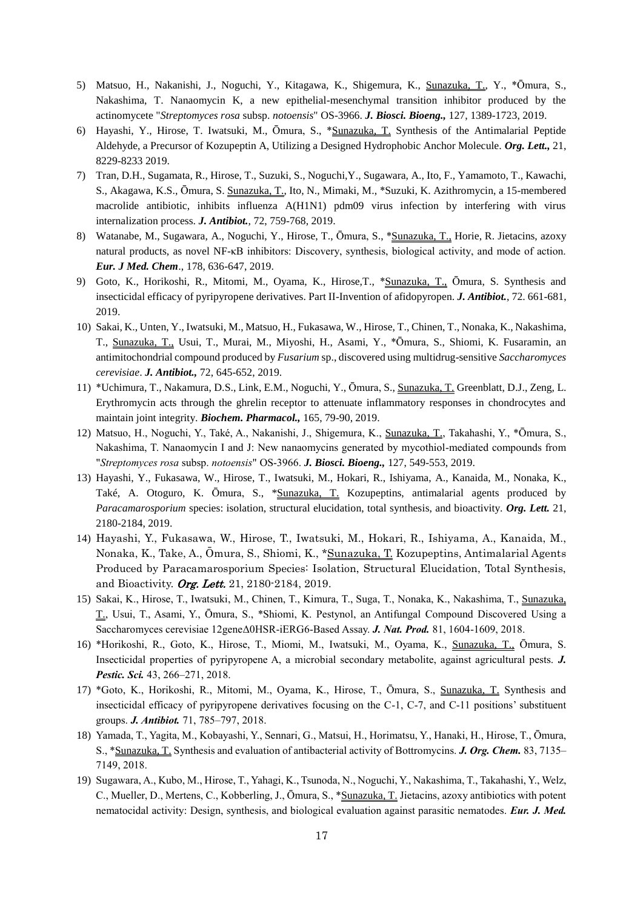- 5) Matsuo, H., Nakanishi, J., Noguchi, Y., Kitagawa, K., Shigemura, K., Sunazuka, T., Y., \*Ōmura, S., Nakashima, T. Nanaomycin K, a new epithelial-mesenchymal transition inhibitor produced by the actinomycete "*Streptomyces rosa* subsp. *notoensis*" OS-3966. *J. Biosci. Bioeng.,* 127, 1389-1723, 2019.
- 6) Hayashi, Y., Hirose, T. Iwatsuki, M., Ōmura, S., \*Sunazuka, T. Synthesis of the Antimalarial Peptide Aldehyde, a Precursor of Kozupeptin A, Utilizing a Designed Hydrophobic Anchor Molecule. *Org. Lett.,* 21, 8229-8233 2019.
- 7) Tran, D.H., Sugamata, R., Hirose, T., Suzuki, S., Noguchi,Y., Sugawara, A., Ito, F., Yamamoto, T., Kawachi, S., Akagawa, K.S., Ōmura, S. Sunazuka, T., Ito, N., Mimaki, M., \*Suzuki, K. Azithromycin, a 15-membered macrolide antibiotic, inhibits influenza A(H1N1) pdm09 virus infection by interfering with virus internalization process. *J. Antibiot.*, 72, 759-768, 2019.
- 8) Watanabe, M., Sugawara, A., Noguchi, Y., Hirose, T., Ōmura, S., \*Sunazuka, T., Horie, R. Jietacins, azoxy natural products, as novel NF-κB inhibitors: Discovery, synthesis, biological activity, and mode of action. *Eur. J Med. Chem*., 178, 636-647, 2019.
- 9) Goto, K., Horikoshi, R., Mitomi, M., Oyama, K., Hirose,T., \*Sunazuka, T., Ōmura, S. Synthesis and insecticidal efficacy of pyripyropene derivatives. Part II-Invention of afidopyropen. *J. Antibiot.*, 72. 661-681, 2019.
- 10) Sakai, K., Unten, Y., Iwatsuki, M., Matsuo, H., Fukasawa, W., Hirose, T., Chinen, T., Nonaka, K., Nakashima, T., Sunazuka, T., Usui, T., Murai, M., Miyoshi, H., Asami, Y., \*Ōmura, S., Shiomi, K. Fusaramin, an antimitochondrial compound produced by *Fusarium* sp., discovered using multidrug-sensitive *Saccharomyces cerevisiae*. *J. Antibiot.,* 72, 645-652, 2019.
- 11) \*Uchimura, T., Nakamura, D.S., Link, E.M., Noguchi, Y., Ōmura, S., Sunazuka, T. Greenblatt, D.J., Zeng, L. Erythromycin acts through the ghrelin receptor to attenuate inflammatory responses in chondrocytes and maintain joint integrity. *Biochem. Pharmacol.,* 165, 79-90, 2019.
- 12) Matsuo, H., Noguchi, Y., Také, A., Nakanishi, J., Shigemura, K., Sunazuka, T., Takahashi, Y., \*Ōmura, S., Nakashima, T. Nanaomycin I and J: New nanaomycins generated by mycothiol-mediated compounds from "*Streptomyces rosa* subsp. *notoensis*" OS-3966. *J. Biosci. Bioeng.,* 127, 549-553, 2019.
- 13) Hayashi, Y., Fukasawa, W., Hirose, T., Iwatsuki, M., Hokari, R., Ishiyama, A., Kanaida, M., Nonaka, K., Také, A. Otoguro, K. Ōmura, S., \*Sunazuka, T. Kozupeptins, antimalarial agents produced by *Paracamarosporium* species: isolation, structural elucidation, total synthesis, and bioactivity. *Org. Lett.* 21, 2180-2184, 2019.
- 14) Hayashi, Y., Fukasawa, W., Hirose, T., Iwatsuki, M., Hokari, R., Ishiyama, A., Kanaida, M., Nonaka, K., Take, A., Ōmura, S., Shiomi, K., \*Sunazuka, T. Kozupeptins, Antimalarial Agents Produced by Paracamarosporium Species: Isolation, Structural Elucidation, Total Synthesis, and Bioactivity. Org. Lett. 21, 2180-2184, 2019.
- 15) Sakai, K., Hirose, T., Iwatsuki, M., Chinen, T., Kimura, T., Suga, T., Nonaka, K., Nakashima, T., Sunazuka, T., Usui, T., Asami, Y., Ōmura, S., \*Shiomi, K. Pestynol, an Antifungal Compound Discovered Using a Saccharomyces cerevisiae 12geneΔ0HSR-iERG6-Based Assay. *J. Nat. Prod.* 81, 1604-1609, 2018.
- 16) \*Horikoshi, R., Goto, K., Hirose, T., Miomi, M., Iwatsuki, M., Oyama, K., Sunazuka, T., Ōmura, S. Insecticidal properties of pyripyropene A, a microbial secondary metabolite, against agricultural pests. *J. Pestic. Sci.* 43, 266–271, 2018.
- 17) \*Goto, K., Horikoshi, R., Mitomi, M., Oyama, K., Hirose, T., Ōmura, S., Sunazuka, T. Synthesis and insecticidal efficacy of pyripyropene derivatives focusing on the C-1, C-7, and C-11 positions' substituent groups. *J. Antibiot.* 71, 785–797, 2018.
- 18) Yamada, T., Yagita, M., Kobayashi, Y., Sennari, G., Matsui, H., Horimatsu, Y., Hanaki, H., Hirose, T., Ōmura, S., \*Sunazuka, T. Synthesis and evaluation of antibacterial activity of Bottromycins. *J. Org. Chem.* 83, 7135– 7149, 2018.
- 19) Sugawara, A., Kubo, M., Hirose, T., Yahagi, K., Tsunoda, N., Noguchi, Y., Nakashima, T., Takahashi, Y., Welz, C., Mueller, D., Mertens, C., Kobberling, J., Ōmura, S., \*Sunazuka, T. Jietacins, azoxy antibiotics with potent nematocidal activity: Design, synthesis, and biological evaluation against parasitic nematodes. *Eur. J. Med.*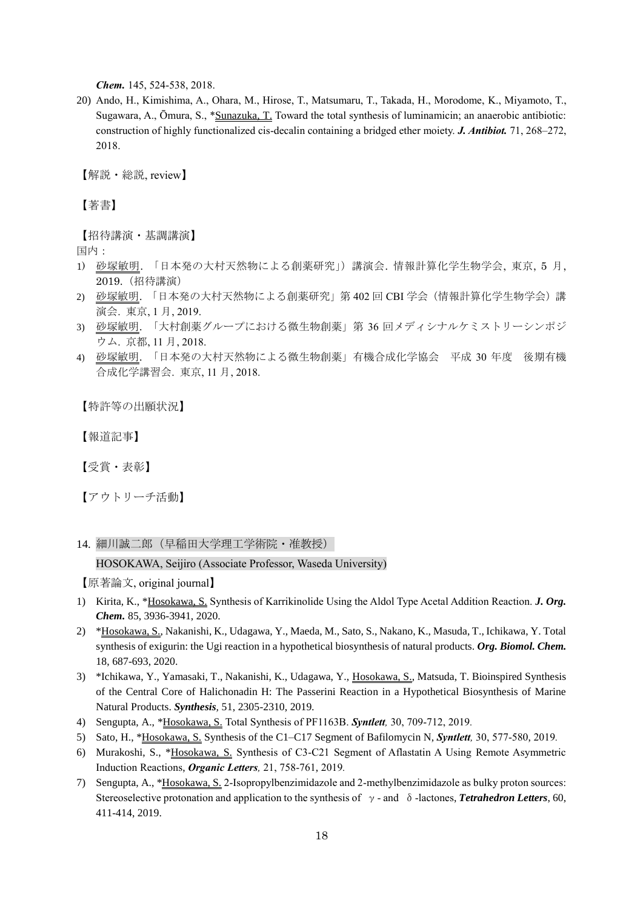*Chem.* 145, 524-538, 2018.

20) Ando, H., Kimishima, A., Ohara, M., Hirose, T., Matsumaru, T., Takada, H., Morodome, K., Miyamoto, T., Sugawara, A., Ōmura, S., \*Sunazuka, T. Toward the total synthesis of luminamicin; an anaerobic antibiotic: construction of highly functionalized cis-decalin containing a bridged ether moiety. *J. Antibiot.* 71, 268–272, 2018.

【解説・総説, review】

【著書】

【招待講演・基調講演】

国内:

- 1) 砂塚敏明. 「日本発の大村天然物による創薬研究」)講演会. 情報計算化学生物学会, 東京, 5 月, 2019.(招待講演)
- 2) 砂塚敏明. 「日本発の大村天然物による創薬研究」第 402 回 CBI 学会(情報計算化学生物学会)講 演会. 東京, 1 月, 2019.
- 3) 砂塚敏明. 「大村創薬グループにおける微生物創薬」第 36 回メディシナルケミストリーシンポジ ウム. 京都, 11 月, 2018.
- 4) 砂塚敏明. 「日本発の大村天然物による微生物創薬」有機合成化学協会 平成 30 年度 後期有機 合成化学講習会. 東京, 11 月, 2018.

【特許等の出願状況】

【報道記事】

【受賞・表彰】

【アウトリーチ活動】

14. 細川誠二郎(早稲田大学理工学術院・准教授)

HOSOKAWA, Seijiro (Associate Professor, Waseda University)

- 1) Kirita, K., \*Hosokawa, S. Synthesis of Karrikinolide Using the Aldol Type Acetal Addition Reaction. *J. Org. Chem.* 85, 3936-3941, 2020.
- 2) \*Hosokawa, S., Nakanishi, K., Udagawa, Y., Maeda, M., Sato, S., Nakano, K., Masuda, T., Ichikawa, Y. Total synthesis of exigurin: the Ugi reaction in a hypothetical biosynthesis of natural products. *Org. Biomol. Chem.* 18, 687-693, 2020.
- 3) \*Ichikawa, Y., Yamasaki, T., Nakanishi, K., Udagawa, Y., *Hosokawa, S., Matsuda, T. Bioinspired Synthesis* of the Central Core of Halichonadin H: The Passerini Reaction in a Hypothetical Biosynthesis of Marine Natural Products. *Synthesis,* 51, 2305-2310, 2019*.*
- 4) Sengupta, A., \*Hosokawa, S. Total Synthesis of PF1163B. *Syntlett,* 30, 709-712, 2019*.*
- 5) Sato, H., \*Hosokawa, S. Synthesis of the C1–C17 Segment of Bafilomycin N, *Syntlett,* 30, 577-580, 2019*.*
- 6) Murakoshi, S., \*Hosokawa, S. Synthesis of C3-C21 Segment of Aflastatin A Using Remote Asymmetric Induction Reactions, *Organic Letters,* 21, 758-761, 2019*.*
- 7) Sengupta, A., \*Hosokawa, S. 2-Isopropylbenzimidazole and 2-methylbenzimidazole as bulky proton sources: Stereoselective protonation and application to the synthesis of γ- and δ-lactones, *Tetrahedron Letters*, 60, 411-414, 2019.